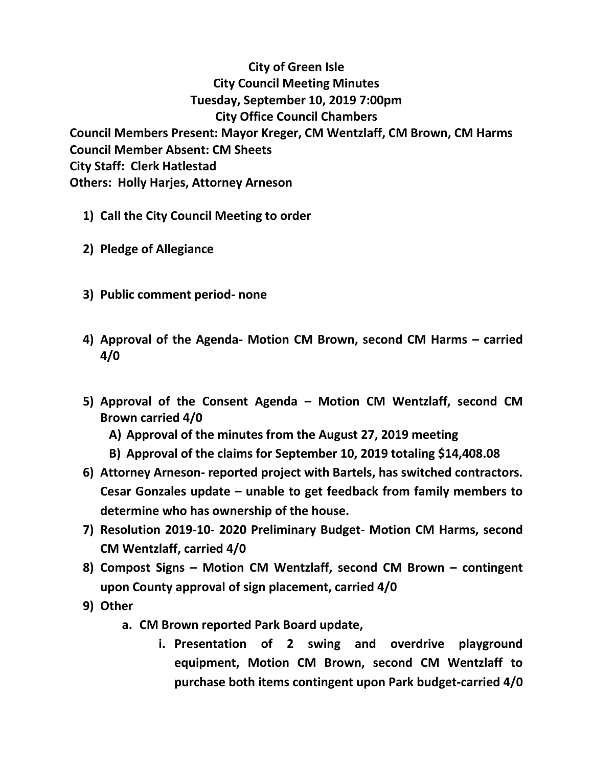## **City of Green Isle City Council Meeting Minutes Tuesday, September 10, 2019 7:00pm City Office Council Chambers Council Members Present: Mayor Kreger, CM Wentzlaff, CM Brown, CM Harms Council Member Absent: CM Sheets City Staff: Clerk Hatlestad Others: Holly Harjes, Attorney Arneson**

- **1) Call the City Council Meeting to order**
- **2) Pledge of Allegiance**
- **3) Public comment period- none**
- **4) Approval of the Agenda- Motion CM Brown, second CM Harms – carried 4/0**
- **5) Approval of the Consent Agenda – Motion CM Wentzlaff, second CM Brown carried 4/0**
	- **A) Approval of the minutes from the August 27, 2019 meeting**
	- **B) Approval of the claims for September 10, 2019 totaling \$14,408.08**
- **6) Attorney Arneson- reported project with Bartels, has switched contractors. Cesar Gonzales update – unable to get feedback from family members to determine who has ownership of the house.**
- **7) Resolution 2019-10- 2020 Preliminary Budget- Motion CM Harms, second CM Wentzlaff, carried 4/0**
- **8) Compost Signs – Motion CM Wentzlaff, second CM Brown – contingent upon County approval of sign placement, carried 4/0**
- **9) Other**
	- **a. CM Brown reported Park Board update,**
		- **i. Presentation of 2 swing and overdrive playground equipment, Motion CM Brown, second CM Wentzlaff to purchase both items contingent upon Park budget-carried 4/0**